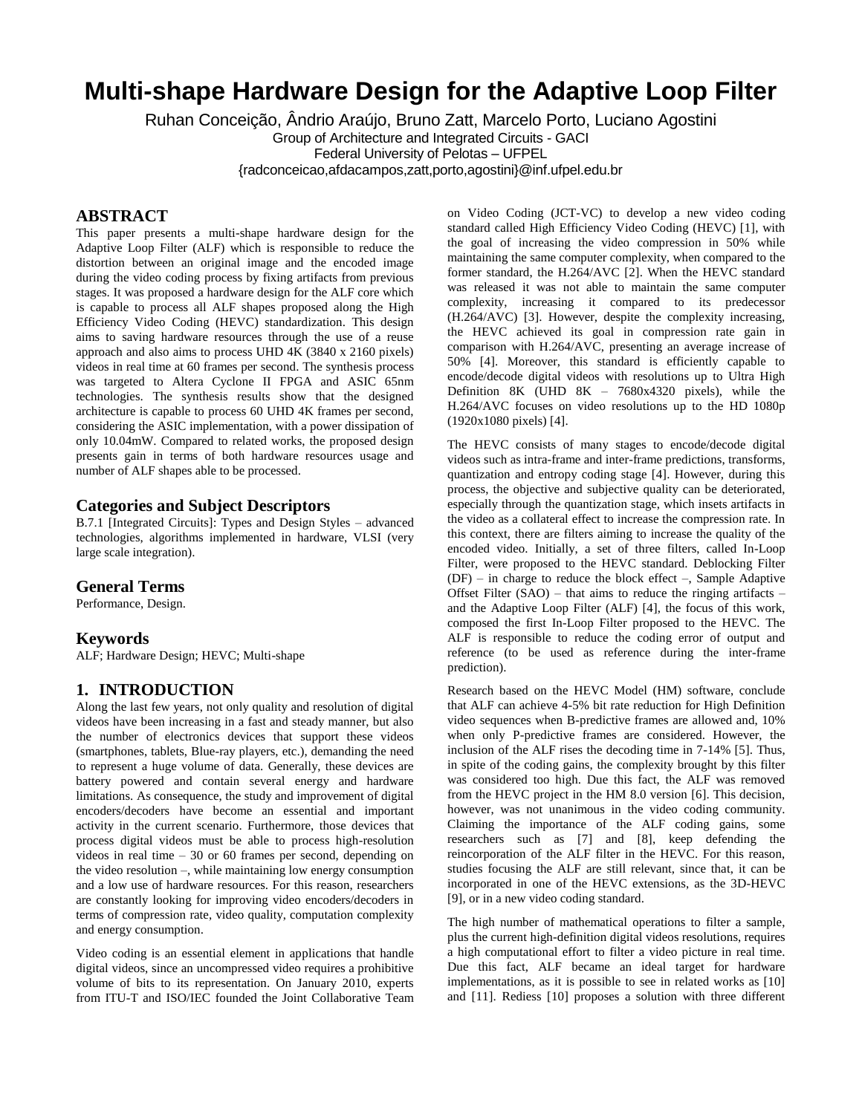# **Multi-shape Hardware Design for the Adaptive Loop Filter**

Ruhan Conceição, Ândrio Araújo, Bruno Zatt, Marcelo Porto, Luciano Agostini

Group of Architecture and Integrated Circuits - GACI

Federal University of Pelotas – UFPEL

{radconceicao,afdacampos,zatt,porto,agostini}@inf.ufpel.edu.br

# **ABSTRACT**

This paper presents a multi-shape hardware design for the Adaptive Loop Filter (ALF) which is responsible to reduce the distortion between an original image and the encoded image during the video coding process by fixing artifacts from previous stages. It was proposed a hardware design for the ALF core which is capable to process all ALF shapes proposed along the High Efficiency Video Coding (HEVC) standardization. This design aims to saving hardware resources through the use of a reuse approach and also aims to process UHD 4K (3840 x 2160 pixels) videos in real time at 60 frames per second. The synthesis process was targeted to Altera Cyclone II FPGA and ASIC 65nm technologies. The synthesis results show that the designed architecture is capable to process 60 UHD 4K frames per second, considering the ASIC implementation, with a power dissipation of only 10.04mW. Compared to related works, the proposed design presents gain in terms of both hardware resources usage and number of ALF shapes able to be processed.

#### **Categories and Subject Descriptors**

B.7.1 [Integrated Circuits]: Types and Design Styles – advanced technologies, algorithms implemented in hardware, VLSI (very large scale integration).

# **General Terms**

Performance, Design.

# **Keywords**

ALF; Hardware Design; HEVC; Multi-shape

# **1. INTRODUCTION**

Along the last few years, not only quality and resolution of digital videos have been increasing in a fast and steady manner, but also the number of electronics devices that support these videos (smartphones, tablets, Blue-ray players, etc.), demanding the need to represent a huge volume of data. Generally, these devices are battery powered and contain several energy and hardware limitations. As consequence, the study and improvement of digital encoders/decoders have become an essential and important activity in the current scenario. Furthermore, those devices that process digital videos must be able to process high-resolution videos in real time – 30 or 60 frames per second, depending on the video resolution –, while maintaining low energy consumption and a low use of hardware resources. For this reason, researchers are constantly looking for improving video encoders/decoders in terms of compression rate, video quality, computation complexity and energy consumption.

Video coding is an essential element in applications that handle digital videos, since an uncompressed video requires a prohibitive volume of bits to its representation. On January 2010, experts from ITU-T and ISO/IEC founded the Joint Collaborative Team

on Video Coding (JCT-VC) to develop a new video coding standard called High Efficiency Video Coding (HEVC) [1], with the goal of increasing the video compression in 50% while maintaining the same computer complexity, when compared to the former standard, the H.264/AVC [2]. When the HEVC standard was released it was not able to maintain the same computer complexity, increasing it compared to its predecessor (H.264/AVC) [3]. However, despite the complexity increasing, the HEVC achieved its goal in compression rate gain in comparison with H.264/AVC, presenting an average increase of 50% [4]. Moreover, this standard is efficiently capable to encode/decode digital videos with resolutions up to Ultra High Definition 8K (UHD 8K – 7680x4320 pixels), while the H.264/AVC focuses on video resolutions up to the HD 1080p (1920x1080 pixels) [4].

The HEVC consists of many stages to encode/decode digital videos such as intra-frame and inter-frame predictions, transforms, quantization and entropy coding stage [4]. However, during this process, the objective and subjective quality can be deteriorated, especially through the quantization stage, which insets artifacts in the video as a collateral effect to increase the compression rate. In this context, there are filters aiming to increase the quality of the encoded video. Initially, a set of three filters, called In-Loop Filter, were proposed to the HEVC standard. Deblocking Filter (DF) – in charge to reduce the block effect –, Sample Adaptive Offset Filter  $(SAO)$  – that aims to reduce the ringing artifacts – and the Adaptive Loop Filter (ALF) [4], the focus of this work, composed the first In-Loop Filter proposed to the HEVC. The ALF is responsible to reduce the coding error of output and reference (to be used as reference during the inter-frame prediction).

Research based on the HEVC Model (HM) software, conclude that ALF can achieve 4-5% bit rate reduction for High Definition video sequences when B-predictive frames are allowed and, 10% when only P-predictive frames are considered. However, the inclusion of the ALF rises the decoding time in 7-14% [5]. Thus, in spite of the coding gains, the complexity brought by this filter was considered too high. Due this fact, the ALF was removed from the HEVC project in the HM 8.0 version [6]. This decision, however, was not unanimous in the video coding community. Claiming the importance of the ALF coding gains, some researchers such as [7] and [8], keep defending the reincorporation of the ALF filter in the HEVC. For this reason, studies focusing the ALF are still relevant, since that, it can be incorporated in one of the HEVC extensions, as the 3D-HEVC [9], or in a new video coding standard.

The high number of mathematical operations to filter a sample, plus the current high-definition digital videos resolutions, requires a high computational effort to filter a video picture in real time. Due this fact, ALF became an ideal target for hardware implementations, as it is possible to see in related works as [10] and [11]. Rediess [10] proposes a solution with three different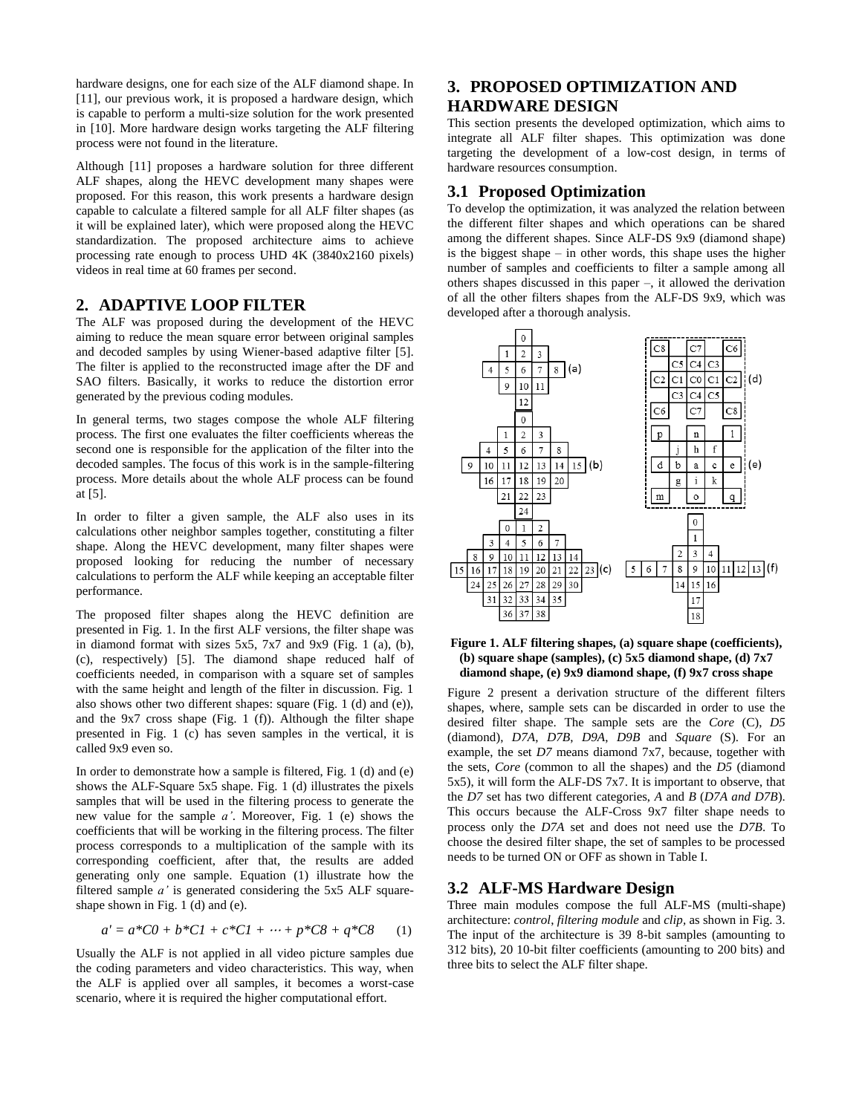hardware designs, one for each size of the ALF diamond shape. In [11], our previous work, it is proposed a hardware design, which is capable to perform a multi-size solution for the work presented in [10]. More hardware design works targeting the ALF filtering process were not found in the literature.

Although [11] proposes a hardware solution for three different ALF shapes, along the HEVC development many shapes were proposed. For this reason, this work presents a hardware design capable to calculate a filtered sample for all ALF filter shapes (as it will be explained later), which were proposed along the HEVC standardization. The proposed architecture aims to achieve processing rate enough to process UHD 4K (3840x2160 pixels) videos in real time at 60 frames per second.

# **2. ADAPTIVE LOOP FILTER**

The ALF was proposed during the development of the HEVC aiming to reduce the mean square error between original samples and decoded samples by using Wiener-based adaptive filter [5]. The filter is applied to the reconstructed image after the DF and SAO filters. Basically, it works to reduce the distortion error generated by the previous coding modules.

In general terms, two stages compose the whole ALF filtering process. The first one evaluates the filter coefficients whereas the second one is responsible for the application of the filter into the decoded samples. The focus of this work is in the sample-filtering process. More details about the whole ALF process can be found at [5].

In order to filter a given sample, the ALF also uses in its calculations other neighbor samples together, constituting a filter shape. Along the HEVC development, many filter shapes were proposed looking for reducing the number of necessary calculations to perform the ALF while keeping an acceptable filter performance.

The proposed filter shapes along the HEVC definition are presented in Fig. 1. In the first ALF versions, the filter shape was in diamond format with sizes  $5x5$ ,  $7x7$  and  $9x9$  (Fig. 1 (a), (b), (c), respectively) [5]. The diamond shape reduced half of coefficients needed, in comparison with a square set of samples with the same height and length of the filter in discussion. Fig. 1 also shows other two different shapes: square (Fig. 1 (d) and (e)), and the 9x7 cross shape (Fig. 1 (f)). Although the filter shape presented in Fig. 1 (c) has seven samples in the vertical, it is called 9x9 even so.

In order to demonstrate how a sample is filtered, Fig. 1 (d) and (e) shows the ALF-Square 5x5 shape. Fig. 1 (d) illustrates the pixels samples that will be used in the filtering process to generate the new value for the sample *a'*. Moreover, Fig. 1 (e) shows the coefficients that will be working in the filtering process. The filter process corresponds to a multiplication of the sample with its corresponding coefficient, after that, the results are added generating only one sample. Equation (1) illustrate how the filtered sample *a'* is generated considering the 5x5 ALF squareshape shown in Fig. 1 (d) and (e).

$$
a' = a * CO + b * CI + c * CI + \dots + p * C8 + q * C8 \tag{1}
$$

Usually the ALF is not applied in all video picture samples due the coding parameters and video characteristics. This way, when the ALF is applied over all samples, it becomes a worst-case scenario, where it is required the higher computational effort.

# **3. PROPOSED OPTIMIZATION AND HARDWARE DESIGN**

This section presents the developed optimization, which aims to integrate all ALF filter shapes. This optimization was done targeting the development of a low-cost design, in terms of hardware resources consumption.

#### **3.1 Proposed Optimization**

To develop the optimization, it was analyzed the relation between the different filter shapes and which operations can be shared among the different shapes. Since ALF-DS 9x9 (diamond shape) is the biggest shape – in other words, this shape uses the higher number of samples and coefficients to filter a sample among all others shapes discussed in this paper –, it allowed the derivation of all the other filters shapes from the ALF-DS 9x9, which was developed after a thorough analysis.



**Figure 1. ALF filtering shapes, (a) square shape (coefficients), (b) square shape (samples), (c) 5x5 diamond shape, (d) 7x7 diamond shape, (e) 9x9 diamond shape, (f) 9x7 cross shape**

Figure 2 present a derivation structure of the different filters shapes, where, sample sets can be discarded in order to use the desired filter shape. The sample sets are the *Core* (C), *D5* (diamond), *D7A*, *D7B*, *D9A*, *D9B* and *Square* (S). For an example, the set *D7* means diamond 7x7, because, together with the sets, *Core* (common to all the shapes) and the *D5* (diamond 5x5), it will form the ALF-DS 7x7. It is important to observe, that the *D7* set has two different categories, *A* and *B* (*D7A and D7B*). This occurs because the ALF-Cross 9x7 filter shape needs to process only the *D7A* set and does not need use the *D7B*. To choose the desired filter shape, the set of samples to be processed needs to be turned ON or OFF as shown in Table I.

#### **3.2 ALF-MS Hardware Design**

Three main modules compose the full ALF-MS (multi-shape) architecture: *control*, *filtering module* and *clip,* as shown in Fig. 3. The input of the architecture is 39 8-bit samples (amounting to 312 bits), 20 10-bit filter coefficients (amounting to 200 bits) and three bits to select the ALF filter shape.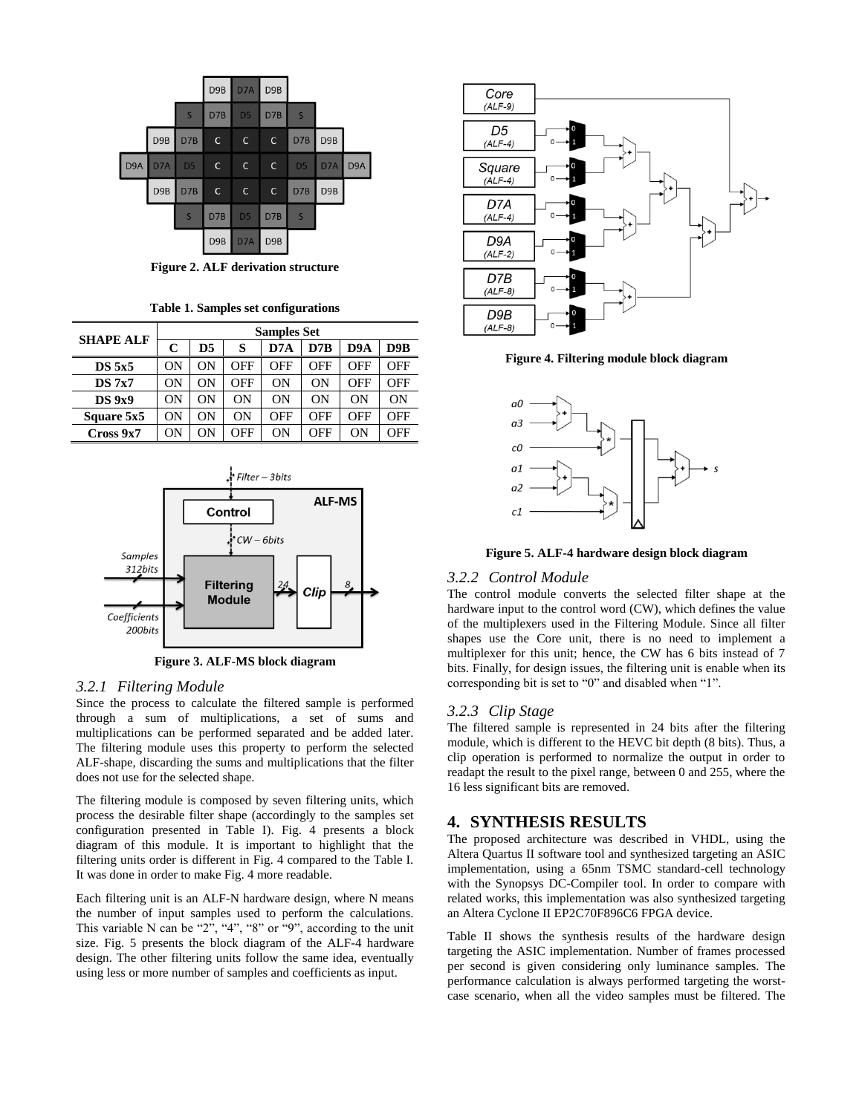

**Figure 2. ALF derivation structure**

**Table 1. Samples set configurations**

| <b>SHAPE ALF</b> | <b>Samples Set</b> |           |            |     |            |     |            |  |
|------------------|--------------------|-----------|------------|-----|------------|-----|------------|--|
|                  | C                  | D5        | S          | D7A | D7B        | D9A | D9B        |  |
| $DS$ 5x5         | OΝ                 | OΝ        | <b>OFF</b> | OFF | <b>OFF</b> | OFF | <b>OFF</b> |  |
| DS 7x7           | OΝ                 | OΝ        | OFF        | OΝ  | OΝ         | OFF | <b>OFF</b> |  |
| $DS\,9x9$        | OΝ                 | OΝ        | ON         | ON  | OΝ         | ON  | ON         |  |
| Square 5x5       | OΝ                 | <b>ON</b> | ΟN         | OFF | OFF        | OFF | <b>OFF</b> |  |
| Cross 9x7        | OΝ                 | ОN        | OFF        | OΝ  | OFF        | OΝ  | OFF        |  |



**Figure 3. ALF-MS block diagram**

#### *3.2.1 Filtering Module*

Since the process to calculate the filtered sample is performed through a sum of multiplications, a set of sums and multiplications can be performed separated and be added later. The filtering module uses this property to perform the selected ALF-shape, discarding the sums and multiplications that the filter does not use for the selected shape.

The filtering module is composed by seven filtering units, which process the desirable filter shape (accordingly to the samples set configuration presented in Table I). Fig. 4 presents a block diagram of this module. It is important to highlight that the filtering units order is different in Fig. 4 compared to the Table I. It was done in order to make Fig. 4 more readable.

Each filtering unit is an ALF-N hardware design, where N means the number of input samples used to perform the calculations. This variable N can be " $2^{\degree}$ , "4", "8" or "9", according to the unit size. Fig. 5 presents the block diagram of the ALF-4 hardware design. The other filtering units follow the same idea, eventually using less or more number of samples and coefficients as input.



**Figure 4. Filtering module block diagram**



**Figure 5. ALF-4 hardware design block diagram**

#### *3.2.2 Control Module*

The control module converts the selected filter shape at the hardware input to the control word (CW), which defines the value of the multiplexers used in the Filtering Module. Since all filter shapes use the Core unit, there is no need to implement a multiplexer for this unit; hence, the CW has 6 bits instead of 7 bits. Finally, for design issues, the filtering unit is enable when its corresponding bit is set to "0" and disabled when "1".

#### *3.2.3 Clip Stage*

The filtered sample is represented in 24 bits after the filtering module, which is different to the HEVC bit depth (8 bits). Thus, a clip operation is performed to normalize the output in order to readapt the result to the pixel range, between 0 and 255, where the 16 less significant bits are removed.

#### **4. SYNTHESIS RESULTS**

The proposed architecture was described in VHDL, using the Altera Quartus II software tool and synthesized targeting an ASIC implementation, using a 65nm TSMC standard-cell technology with the Synopsys DC-Compiler tool. In order to compare with related works, this implementation was also synthesized targeting an Altera Cyclone II EP2C70F896C6 FPGA device.

Table II shows the synthesis results of the hardware design targeting the ASIC implementation. Number of frames processed per second is given considering only luminance samples. The performance calculation is always performed targeting the worstcase scenario, when all the video samples must be filtered. The